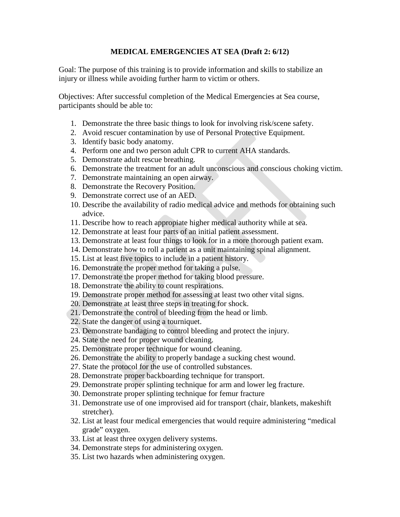## **MEDICAL EMERGENCIES AT SEA (Draft 2: 6/12)**

Goal: The purpose of this training is to provide information and skills to stabilize an injury or illness while avoiding further harm to victim or others.

Objectives: After successful completion of the Medical Emergencies at Sea course, participants should be able to:

- 1. Demonstrate the three basic things to look for involving risk/scene safety.
- 2. Avoid rescuer contamination by use of Personal Protective Equipment.
- 3. Identify basic body anatomy.
- 4. Perform one and two person adult CPR to current AHA standards.
- 5. Demonstrate adult rescue breathing.
- 6. Demonstrate the treatment for an adult unconscious and conscious choking victim.
- 7. Demonstrate maintaining an open airway.
- 8. Demonstrate the Recovery Position.
- 9. Demonstrate correct use of an AED.
- 10. Describe the availability of radio medical advice and methods for obtaining such advice.
- 11. Describe how to reach appropiate higher medical authority while at sea.
- 12. Demonstrate at least four parts of an initial patient assessment.
- 13. Demonstrate at least four things to look for in a more thorough patient exam.
- 14. Demonstrate how to roll a patient as a unit maintaining spinal alignment.
- 15. List at least five topics to include in a patient history.
- 16. Demonstrate the proper method for taking a pulse.
- 17. Demonstrate the proper method for taking blood pressure.
- 18. Demonstrate the ability to count respirations.
- 19. Demonstrate proper method for assessing at least two other vital signs.
- 20. Demonstrate at least three steps in treating for shock.
- 21. Demonstrate the control of bleeding from the head or limb.
- 22. State the danger of using a tourniquet.
- 23. Demonstrate bandaging to control bleeding and protect the injury.
- 24. State the need for proper wound cleaning.
- 25. Demonstrate proper technique for wound cleaning.
- 26. Demonstrate the ability to properly bandage a sucking chest wound.
- 27. State the protocol for the use of controlled substances.
- 28. Demonstrate proper backboarding technique for transport.
- 29. Demonstrate proper splinting technique for arm and lower leg fracture.
- 30. Demonstrate proper splinting technique for femur fracture
- 31. Demonstrate use of one improvised aid for transport (chair, blankets, makeshift stretcher).
- 32. List at least four medical emergencies that would require administering "medical grade" oxygen.
- 33. List at least three oxygen delivery systems.
- 34. Demonstrate steps for administering oxygen.
- 35. List two hazards when administering oxygen.